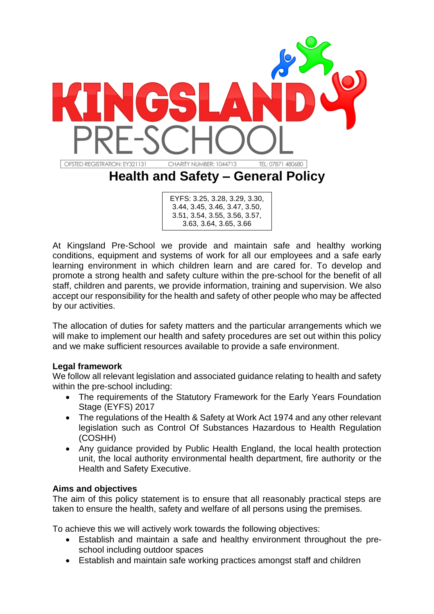

EYFS: 3.25, 3.28, 3.29, 3.30, 3.44, 3.45, 3.46, 3.47, 3.50, 3.51, 3.54, 3.55, 3.56, 3.57, 3.63, 3.64, 3.65, 3.66

At Kingsland Pre-School we provide and maintain safe and healthy working conditions, equipment and systems of work for all our employees and a safe early learning environment in which children learn and are cared for. To develop and promote a strong health and safety culture within the pre-school for the benefit of all staff, children and parents, we provide information, training and supervision. We also accept our responsibility for the health and safety of other people who may be affected by our activities.

The allocation of duties for safety matters and the particular arrangements which we will make to implement our health and safety procedures are set out within this policy and we make sufficient resources available to provide a safe environment.

## **Legal framework**

We follow all relevant legislation and associated guidance relating to health and safety within the pre-school including:

- The requirements of the Statutory Framework for the Early Years Foundation Stage (EYFS) 2017
- The regulations of the Health & Safety at Work Act 1974 and any other relevant legislation such as Control Of Substances Hazardous to Health Regulation (COSHH)
- Any guidance provided by Public Health England, the local health protection unit, the local authority environmental health department, fire authority or the Health and Safety Executive.

## **Aims and objectives**

The aim of this policy statement is to ensure that all reasonably practical steps are taken to ensure the health, safety and welfare of all persons using the premises.

To achieve this we will actively work towards the following objectives:

- Establish and maintain a safe and healthy environment throughout the preschool including outdoor spaces
- Establish and maintain safe working practices amongst staff and children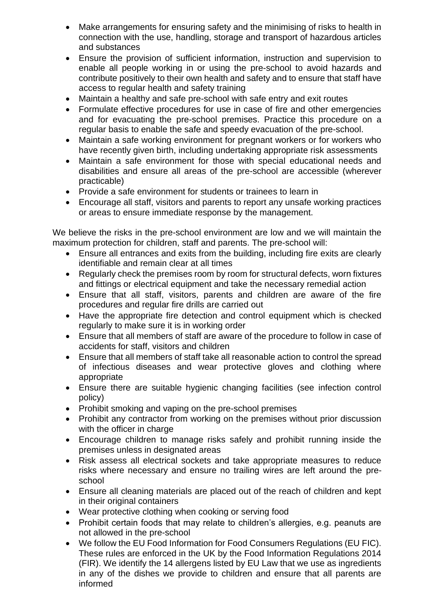- Make arrangements for ensuring safety and the minimising of risks to health in connection with the use, handling, storage and transport of hazardous articles and substances
- Ensure the provision of sufficient information, instruction and supervision to enable all people working in or using the pre-school to avoid hazards and contribute positively to their own health and safety and to ensure that staff have access to regular health and safety training
- Maintain a healthy and safe pre-school with safe entry and exit routes
- Formulate effective procedures for use in case of fire and other emergencies and for evacuating the pre-school premises. Practice this procedure on a regular basis to enable the safe and speedy evacuation of the pre-school.
- Maintain a safe working environment for pregnant workers or for workers who have recently given birth, including undertaking appropriate risk assessments
- Maintain a safe environment for those with special educational needs and disabilities and ensure all areas of the pre-school are accessible (wherever practicable)
- Provide a safe environment for students or trainees to learn in
- Encourage all staff, visitors and parents to report any unsafe working practices or areas to ensure immediate response by the management.

We believe the risks in the pre-school environment are low and we will maintain the maximum protection for children, staff and parents. The pre-school will:

- Ensure all entrances and exits from the building, including fire exits are clearly identifiable and remain clear at all times
- Regularly check the premises room by room for structural defects, worn fixtures and fittings or electrical equipment and take the necessary remedial action
- Ensure that all staff, visitors, parents and children are aware of the fire procedures and regular fire drills are carried out
- Have the appropriate fire detection and control equipment which is checked regularly to make sure it is in working order
- Ensure that all members of staff are aware of the procedure to follow in case of accidents for staff, visitors and children
- Ensure that all members of staff take all reasonable action to control the spread of infectious diseases and wear protective gloves and clothing where appropriate
- Ensure there are suitable hygienic changing facilities (see infection control policy)
- Prohibit smoking and vaping on the pre-school premises
- Prohibit any contractor from working on the premises without prior discussion with the officer in charge
- Encourage children to manage risks safely and prohibit running inside the premises unless in designated areas
- Risk assess all electrical sockets and take appropriate measures to reduce risks where necessary and ensure no trailing wires are left around the preschool
- Ensure all cleaning materials are placed out of the reach of children and kept in their original containers
- Wear protective clothing when cooking or serving food
- Prohibit certain foods that may relate to children's allergies, e.g. peanuts are not allowed in the pre-school
- We follow the EU Food Information for Food Consumers Regulations (EU FIC). These rules are enforced in the UK by the Food Information Regulations 2014 (FIR). We identify the 14 allergens listed by EU Law that we use as ingredients in any of the dishes we provide to children and ensure that all parents are informed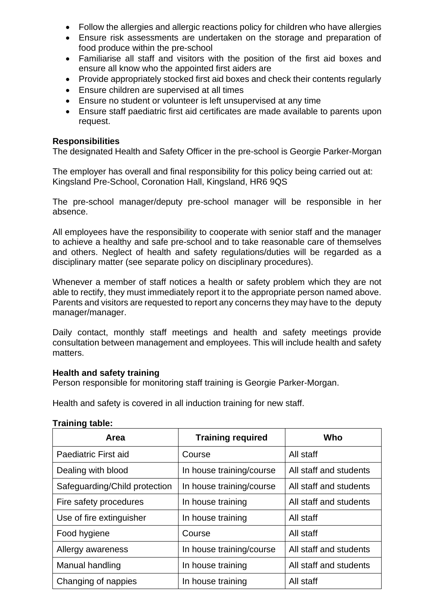- Follow the allergies and allergic reactions policy for children who have allergies
- Ensure risk assessments are undertaken on the storage and preparation of food produce within the pre-school
- Familiarise all staff and visitors with the position of the first aid boxes and ensure all know who the appointed first aiders are
- Provide appropriately stocked first aid boxes and check their contents regularly
- Ensure children are supervised at all times
- Ensure no student or volunteer is left unsupervised at any time
- Ensure staff paediatric first aid certificates are made available to parents upon request.

#### **Responsibilities**

The designated Health and Safety Officer in the pre-school is Georgie Parker-Morgan

The employer has overall and final responsibility for this policy being carried out at: Kingsland Pre-School, Coronation Hall, Kingsland, HR6 9QS

The pre-school manager/deputy pre-school manager will be responsible in her absence.

All employees have the responsibility to cooperate with senior staff and the manager to achieve a healthy and safe pre-school and to take reasonable care of themselves and others. Neglect of health and safety regulations/duties will be regarded as a disciplinary matter (see separate policy on disciplinary procedures).

Whenever a member of staff notices a health or safety problem which they are not able to rectify, they must immediately report it to the appropriate person named above. Parents and visitors are requested to report any concerns they may have to the deputy manager/manager.

Daily contact, monthly staff meetings and health and safety meetings provide consultation between management and employees. This will include health and safety matters.

#### **Health and safety training**

Person responsible for monitoring staff training is Georgie Parker-Morgan.

Health and safety is covered in all induction training for new staff.

|  | <b>Training table:</b> |  |
|--|------------------------|--|
|  |                        |  |

| Area                          | <b>Training required</b> | Who                    |
|-------------------------------|--------------------------|------------------------|
| Paediatric First aid          | Course                   | All staff              |
| Dealing with blood            | In house training/course | All staff and students |
| Safeguarding/Child protection | In house training/course | All staff and students |
| Fire safety procedures        | In house training        | All staff and students |
| Use of fire extinguisher      | In house training        | All staff              |
| Food hygiene                  | Course                   | All staff              |
| Allergy awareness             | In house training/course | All staff and students |
| Manual handling               | In house training        | All staff and students |
| Changing of nappies           | In house training        | All staff              |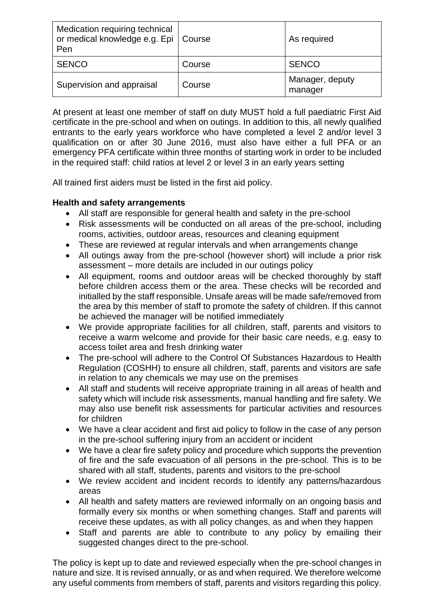| Medication requiring technical<br>or medical knowledge e.g. Epi   Course<br>Pen |        | As required                |
|---------------------------------------------------------------------------------|--------|----------------------------|
| <b>SENCO</b>                                                                    | Course | <b>SENCO</b>               |
| Supervision and appraisal                                                       | Course | Manager, deputy<br>manager |

At present at least one member of staff on duty MUST hold a full paediatric First Aid certificate in the pre-school and when on outings. In addition to this, all newly qualified entrants to the early years workforce who have completed a level 2 and/or level 3 qualification on or after 30 June 2016, must also have either a full PFA or an emergency PFA certificate within three months of starting work in order to be included in the required staff: child ratios at level 2 or level 3 in an early years setting

All trained first aiders must be listed in the first aid policy.

# **Health and safety arrangements**

- All staff are responsible for general health and safety in the pre-school
- Risk assessments will be conducted on all areas of the pre-school, including rooms, activities, outdoor areas, resources and cleaning equipment
- These are reviewed at regular intervals and when arrangements change
- All outings away from the pre-school (however short) will include a prior risk assessment – more details are included in our outings policy
- All equipment, rooms and outdoor areas will be checked thoroughly by staff before children access them or the area. These checks will be recorded and initialled by the staff responsible. Unsafe areas will be made safe/removed from the area by this member of staff to promote the safety of children. If this cannot be achieved the manager will be notified immediately
- We provide appropriate facilities for all children, staff, parents and visitors to receive a warm welcome and provide for their basic care needs, e.g. easy to access toilet area and fresh drinking water
- The pre-school will adhere to the Control Of Substances Hazardous to Health Regulation (COSHH) to ensure all children, staff, parents and visitors are safe in relation to any chemicals we may use on the premises
- All staff and students will receive appropriate training in all areas of health and safety which will include risk assessments, manual handling and fire safety. We may also use benefit risk assessments for particular activities and resources for children
- We have a clear accident and first aid policy to follow in the case of any person in the pre-school suffering injury from an accident or incident
- We have a clear fire safety policy and procedure which supports the prevention of fire and the safe evacuation of all persons in the pre-school. This is to be shared with all staff, students, parents and visitors to the pre-school
- We review accident and incident records to identify any patterns/hazardous areas
- All health and safety matters are reviewed informally on an ongoing basis and formally every six months or when something changes. Staff and parents will receive these updates, as with all policy changes, as and when they happen
- Staff and parents are able to contribute to any policy by emailing their suggested changes direct to the pre-school.

The policy is kept up to date and reviewed especially when the pre-school changes in nature and size. It is revised annually, or as and when required. We therefore welcome any useful comments from members of staff, parents and visitors regarding this policy.